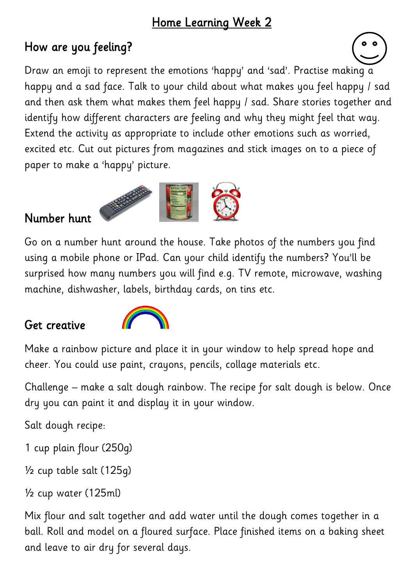#### Home Learning Week 2

## How are you feeling?

Draw an emoji to represent the emotions 'happy' and 'sad'. Practise making a happy and a sad face. Talk to your child about what makes you feel happy / sad and then ask them what makes them feel happy / sad. Share stories together and identify how different characters are feeling and why they might feel that way. Extend the activity as appropriate to include other emotions such as worried, excited etc. Cut out pictures from magazines and stick images on to a piece of paper to make a 'happy' picture.

#### Number hunt



Go on a number hunt around the house. Take photos of the numbers you find using a mobile phone or IPad. Can your child identify the numbers? You'll be surprised how many numbers you will find e.g. TV remote, microwave, washing machine, dishwasher, labels, birthday cards, on tins etc.

#### Get creative



Make a rainbow picture and place it in your window to help spread hope and cheer. You could use paint, crayons, pencils, collage materials etc.

Challenge – make a salt dough rainbow. The recipe for salt dough is below. Once dry you can paint it and display it in your window.

Salt dough recipe:

1 cup plain flour (250g)

½ cup table salt (125g)

```
½ cup water (125ml)
```
Mix flour and salt together and add water until the dough comes together in a ball. Roll and model on a floured surface. Place finished items on a baking sheet and leave to air dry for several days.